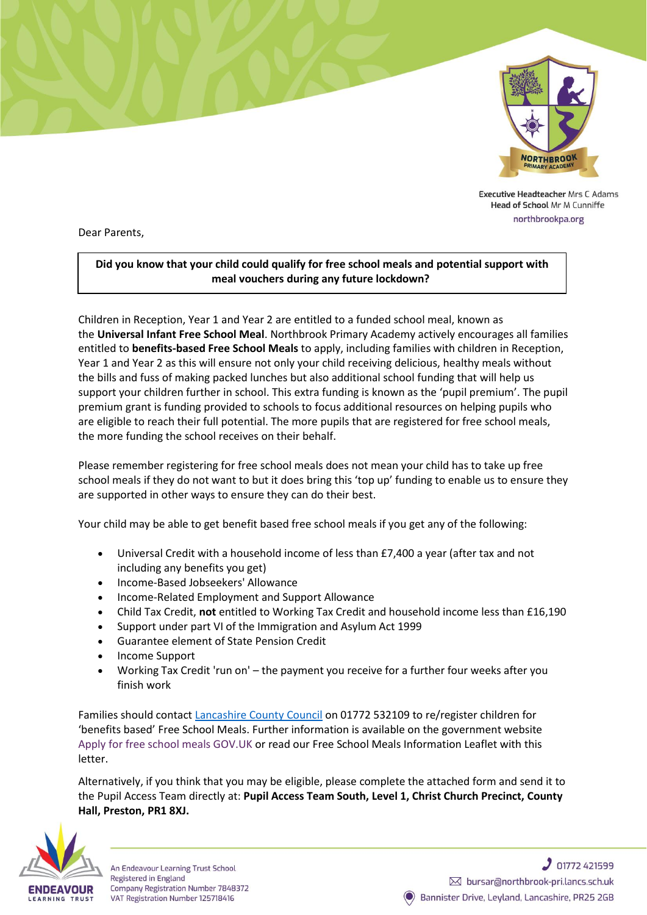

Executive Headteacher Mrs C Adams Head of School Mr M Cunniffe northbrookpa.org

Dear Parents,

## **Did you know that your child could qualify for free school meals and potential support with meal vouchers during any future lockdown?**

Children in Reception, Year 1 and Year 2 are entitled to a funded school meal, known as the **Universal Infant Free School Meal**. Northbrook Primary Academy actively encourages all families entitled to **benefits-based Free School Meals** to apply, including families with children in Reception, Year 1 and Year 2 as this will ensure not only your child receiving delicious, healthy meals without the bills and fuss of making packed lunches but also additional school funding that will help us support your children further in school. This extra funding is known as the 'pupil premium'. The pupil premium grant is funding provided to schools to focus additional resources on helping pupils who are eligible to reach their full potential. The more pupils that are registered for free school meals, the more funding the school receives on their behalf.

Please remember registering for free school meals does not mean your child has to take up free school meals if they do not want to but it does bring this 'top up' funding to enable us to ensure they are supported in other ways to ensure they can do their best.

Your child may be able to get benefit based free school meals if you get any of the following:

- Universal Credit with a household income of less than £7,400 a year (after tax and not including any benefits you get)
- Income-Based Jobseekers' Allowance
- Income-Related Employment and Support Allowance
- Child Tax Credit, **not** entitled to Working Tax Credit and household income less than £16,190
- Support under part VI of the Immigration and Asylum Act 1999
- Guarantee element of State Pension Credit
- Income Support
- Working Tax Credit 'run on' the payment you receive for a further four weeks after you finish work

Families should contact [Lancashire County Council](https://www.lancashire.gov.uk/children-education-families/schools/free-school-meals/?page=3) on 01772 532109 to re/register children for 'benefits based' Free School Meals. Further information is available on the government website [Apply for free school meals](https://www.gov.uk/apply-free-school-meals) GOV.UK or read our Free School Meals Information Leaflet with this letter.

Alternatively, if you think that you may be eligible, please complete the attached form and send it to the Pupil Access Team directly at: **Pupil Access Team South, Level 1, Christ Church Precinct, County Hall, Preston, PR1 8XJ.**



An Endeavour Learning Trust School Registered in England Company Registration Number 7848372 VAT Registration Number 125718416

 $201772421599$ ᢂ bursar@northbrook-pri.lancs.sch.uk Bannister Drive, Leyland, Lancashire, PR25 2GB